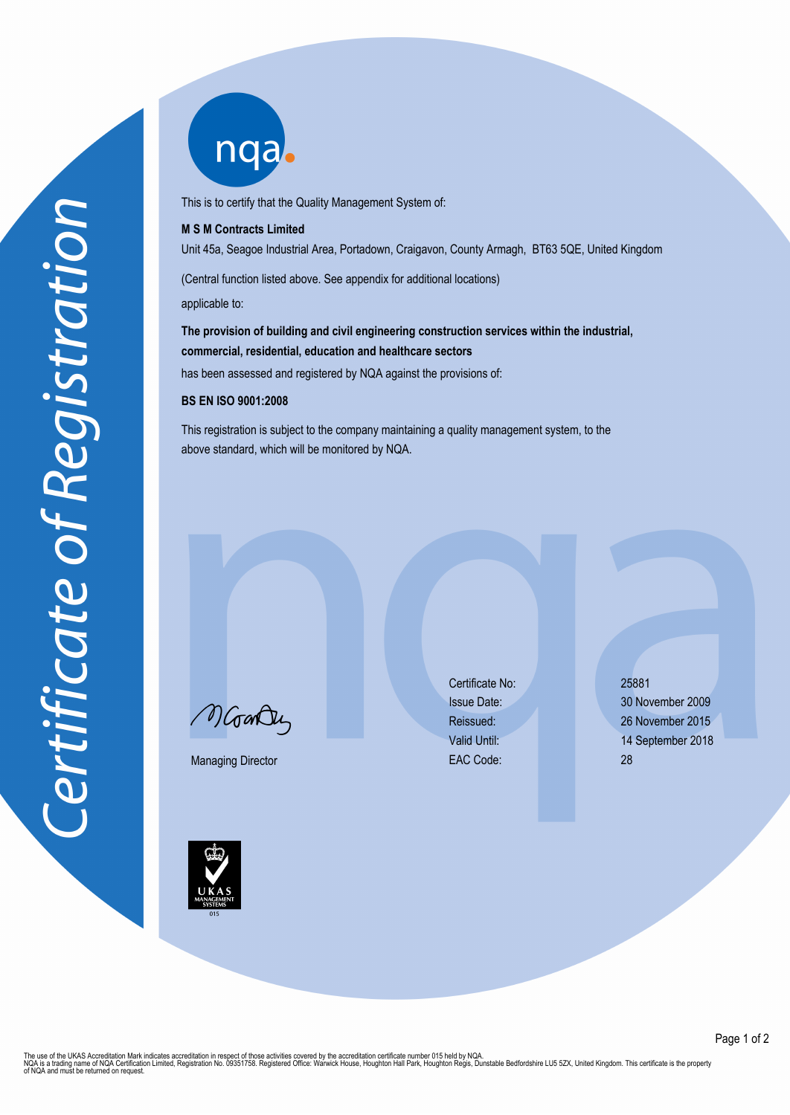nqab

This is to certify that the Quality Management System of:

## **M S M Contracts Limited**

Unit 45a, Seagoe Industrial Area, Portadown, Craigavon, County Armagh, BT63 5QE, United Kingdom

(Central function listed above. See appendix for additional locations)

applicable to:

**The provision of building and civil engineering construction services within the industrial, commercial, residential, education and healthcare sectors** has been assessed and registered by NQA against the provisions of:

## **BS EN ISO 9001:2008**

This registration is subject to the company maintaining a quality management system, to the above standard, which will be monitored by NQA.

MGarden

Managing Director

Certificate No: 25881 EAC Code: 28

Issue Date: 30 November 2009 Reissued: 26 November 2015 Valid Until: 14 September 2018